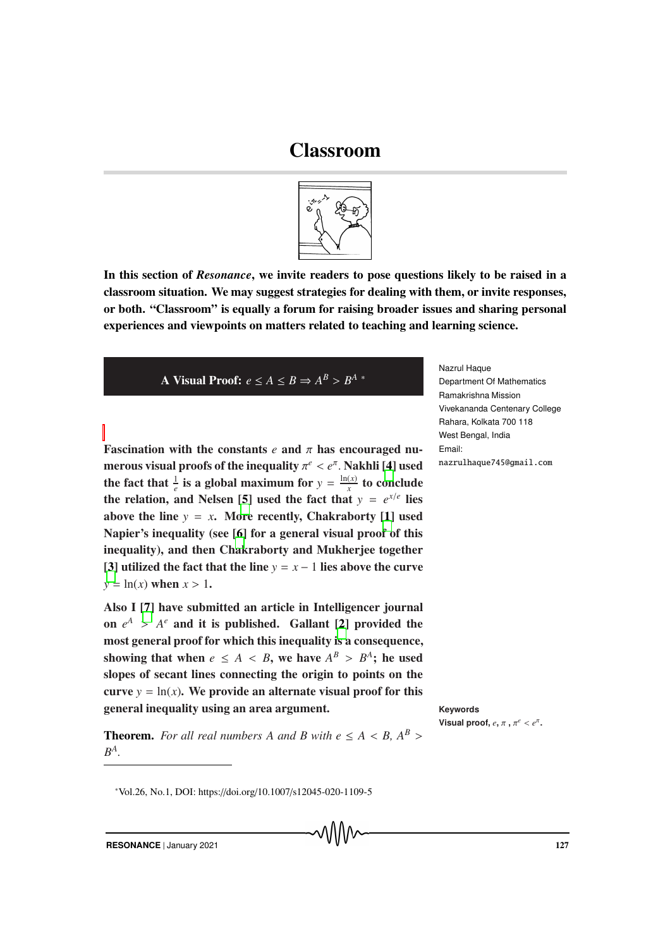## Classroom



In this section of *Resonance*, we invite readers to pose questions likely to be raised in a classroom situation. We may suggest strategies for dealing with them, or invite responses, or both. "Classroom" is equally a forum for raising broader issues and sharing personal experiences and viewpoints on matters related to teaching and learning science.

A Visual Proof:  $e \le A \le B \Rightarrow A^B > B^A$  \*

Fascination with the constants *e* and π has encouraged numerous visual proofs of the inequality  $\pi^e < e^{\pi}$ . Nakhli [4] used the fact that  $\frac{1}{e}$  is a global maximum for  $y = \frac{\ln(x)}{x}$  $\frac{(x)}{x}$  to conclude the relation, and Nelsen [5] used the fact that  $y = e^{x/e}$  lies above the line  $y = x$ . More recently, Chakraborty [1] used Napier's inequality (see [6] for a general visual proof of this inequality), and then Chakraborty and Mukherjee together [3] utilized the fact that the line  $y = x - 1$  lies above the curve  $y = \ln(x)$  when  $x > 1$ .

Also I [7] have submitted an article in Intelligencer journal on  $e^A > A^e$  and it is published. Gallant [2] provided the most general proof for which this inequality is a consequence, showing that when  $e \leq A \leq B$ , we have  $A^B > B^A$ ; he used slopes of secant lines connecting the origin to points on the curve  $y = ln(x)$ . We provide an alternate visual proof for this general inequality using an area argument. **Keywords**

**Theorem.** For all real numbers A and B with  $e \leq A \leq B$ ,  $A^B$ *B A .*

Nazrul Haque Department Of Mathematics Ramakrishna Mission Vivekananda Centenary College Rahara, Kolkata 700 118 West Bengal, India Email: nazrulhaque745@gmail.com

Visual proof,  $e, \pi, \pi^e < e^{\pi}$ .

**RESONANCE** | January 2021 127

<sup>∗</sup>Vol.26, No.1, DOI: https://doi.org/10.1007/s12045-020-1109-5